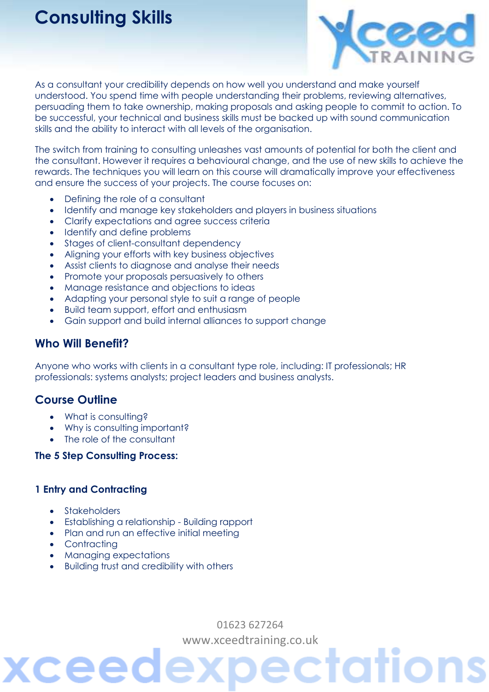# **Consulting Skills**



As a consultant your credibility depends on how well you understand and make yourself understood. You spend time with people understanding their problems, reviewing alternatives, persuading them to take ownership, making proposals and asking people to commit to action. To be successful, your technical and business skills must be backed up with sound communication skills and the ability to interact with all levels of the organisation.

The switch from training to consulting unleashes vast amounts of potential for both the client and the consultant. However it requires a behavioural change, and the use of new skills to achieve the rewards. The techniques you will learn on this course will dramatically improve your effectiveness and ensure the success of your projects. The course focuses on:

- Defining the role of a consultant
- Identify and manage key stakeholders and players in business situations
- Clarify expectations and agree success criteria
- Identify and define problems
- Stages of client-consultant dependency
- Aligning your efforts with key business objectives
- Assist clients to diagnose and analyse their needs
- Promote your proposals persuasively to others
- Manage resistance and objections to ideas
- Adapting your personal style to suit a range of people
- Build team support, effort and enthusiasm
- Gain support and build internal alliances to support change

## **Who Will Benefit?**

Anyone who works with clients in a consultant type role, including: IT professionals; HR professionals: systems analysts; project leaders and business analysts.

# **Course Outline**

- What is consulting?
- Why is consulting important?
- The role of the consultant

#### **The 5 Step Consulting Process:**

#### **1 Entry and Contracting**

- Stakeholders
- Establishing a relationship Building rapport
- Plan and run an effective initial meeting
- Contractina

ceec

- Managing expectations
- Building trust and credibility with others

01623 627264 [www.xceedtraining.co.uk](http://www.xceedtraining.co.uk/)